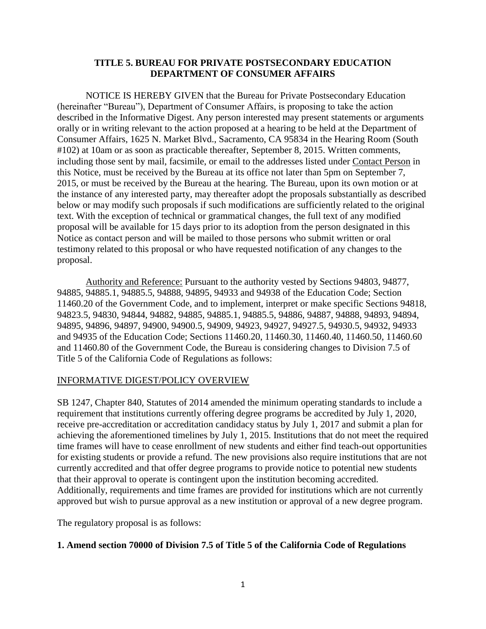## **TITLE 5. BUREAU FOR PRIVATE POSTSECONDARY EDUCATION DEPARTMENT OF CONSUMER AFFAIRS**

NOTICE IS HEREBY GIVEN that the Bureau for Private Postsecondary Education (hereinafter "Bureau"), Department of Consumer Affairs, is proposing to take the action described in the Informative Digest. Any person interested may present statements or arguments orally or in writing relevant to the action proposed at a hearing to be held at the Department of Consumer Affairs, 1625 N. Market Blvd., Sacramento, CA 95834 in the Hearing Room (South #102) at 10am or as soon as practicable thereafter, September 8, 2015. Written comments, including those sent by mail, facsimile, or email to the addresses listed under Contact Person in this Notice, must be received by the Bureau at its office not later than 5pm on September 7, 2015, or must be received by the Bureau at the hearing. The Bureau, upon its own motion or at the instance of any interested party, may thereafter adopt the proposals substantially as described below or may modify such proposals if such modifications are sufficiently related to the original text. With the exception of technical or grammatical changes, the full text of any modified proposal will be available for 15 days prior to its adoption from the person designated in this Notice as contact person and will be mailed to those persons who submit written or oral testimony related to this proposal or who have requested notification of any changes to the proposal.

Authority and Reference: Pursuant to the authority vested by Sections 94803, 94877, 94885, 94885.1, 94885.5, 94888, 94895, 94933 and 94938 of the Education Code; Section 11460.20 of the Government Code, and to implement, interpret or make specific Sections 94818, 94823.5, 94830, 94844, 94882, 94885, 94885.1, 94885.5, 94886, 94887, 94888, 94893, 94894, 94895, 94896, 94897, 94900, 94900.5, 94909, 94923, 94927, 94927.5, 94930.5, 94932, 94933 and 94935 of the Education Code; Sections 11460.20, 11460.30, 11460.40, 11460.50, 11460.60 and 11460.80 of the Government Code, the Bureau is considering changes to Division 7.5 of Title 5 of the California Code of Regulations as follows:

## INFORMATIVE DIGEST/POLICY OVERVIEW

SB 1247, Chapter 840, Statutes of 2014 amended the minimum operating standards to include a requirement that institutions currently offering degree programs be accredited by July 1, 2020, receive pre-accreditation or accreditation candidacy status by July 1, 2017 and submit a plan for achieving the aforementioned timelines by July 1, 2015. Institutions that do not meet the required time frames will have to cease enrollment of new students and either find teach-out opportunities for existing students or provide a refund. The new provisions also require institutions that are not currently accredited and that offer degree programs to provide notice to potential new students that their approval to operate is contingent upon the institution becoming accredited. Additionally, requirements and time frames are provided for institutions which are not currently approved but wish to pursue approval as a new institution or approval of a new degree program.

The regulatory proposal is as follows:

## **1. Amend section 70000 of Division 7.5 of Title 5 of the California Code of Regulations**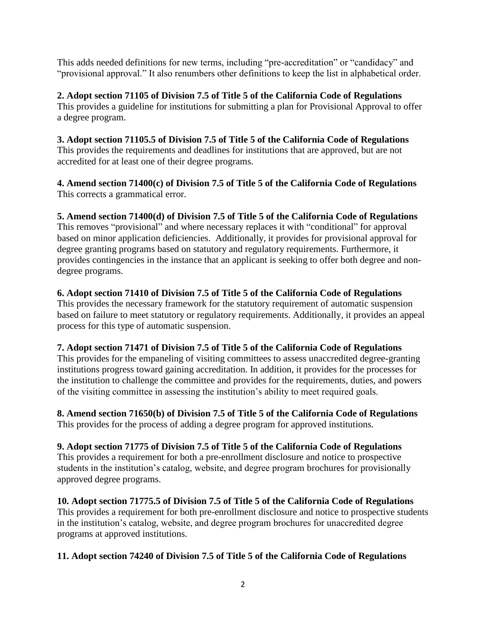This adds needed definitions for new terms, including "pre-accreditation" or "candidacy" and "provisional approval." It also renumbers other definitions to keep the list in alphabetical order.

**2. Adopt section 71105 of Division 7.5 of Title 5 of the California Code of Regulations** This provides a guideline for institutions for submitting a plan for Provisional Approval to offer a degree program.

**3. Adopt section 71105.5 of Division 7.5 of Title 5 of the California Code of Regulations** This provides the requirements and deadlines for institutions that are approved, but are not accredited for at least one of their degree programs.

**4. Amend section 71400(c) of Division 7.5 of Title 5 of the California Code of Regulations** This corrects a grammatical error.

**5. Amend section 71400(d) of Division 7.5 of Title 5 of the California Code of Regulations** This removes "provisional" and where necessary replaces it with "conditional" for approval based on minor application deficiencies. Additionally, it provides for provisional approval for degree granting programs based on statutory and regulatory requirements. Furthermore, it provides contingencies in the instance that an applicant is seeking to offer both degree and nondegree programs.

# **6. Adopt section 71410 of Division 7.5 of Title 5 of the California Code of Regulations**

This provides the necessary framework for the statutory requirement of automatic suspension based on failure to meet statutory or regulatory requirements. Additionally, it provides an appeal process for this type of automatic suspension.

# **7. Adopt section 71471 of Division 7.5 of Title 5 of the California Code of Regulations**

This provides for the empaneling of visiting committees to assess unaccredited degree-granting institutions progress toward gaining accreditation. In addition, it provides for the processes for the institution to challenge the committee and provides for the requirements, duties, and powers of the visiting committee in assessing the institution's ability to meet required goals.

**8. Amend section 71650(b) of Division 7.5 of Title 5 of the California Code of Regulations** This provides for the process of adding a degree program for approved institutions.

**9. Adopt section 71775 of Division 7.5 of Title 5 of the California Code of Regulations** This provides a requirement for both a pre-enrollment disclosure and notice to prospective students in the institution's catalog, website, and degree program brochures for provisionally approved degree programs.

**10. Adopt section 71775.5 of Division 7.5 of Title 5 of the California Code of Regulations** This provides a requirement for both pre-enrollment disclosure and notice to prospective students in the institution's catalog, website, and degree program brochures for unaccredited degree programs at approved institutions.

## **11. Adopt section 74240 of Division 7.5 of Title 5 of the California Code of Regulations**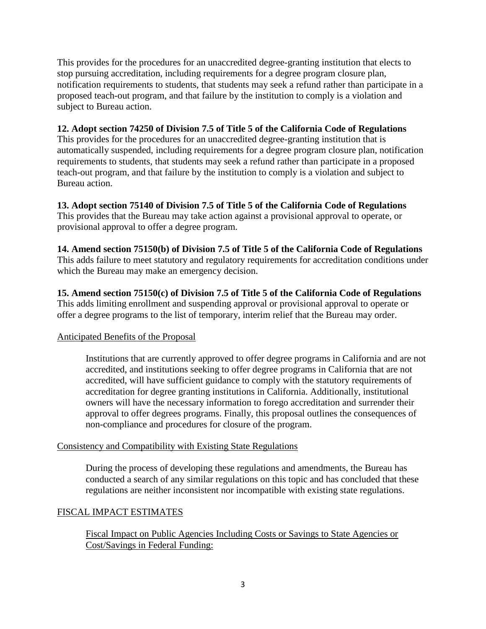This provides for the procedures for an unaccredited degree-granting institution that elects to stop pursuing accreditation, including requirements for a degree program closure plan, notification requirements to students, that students may seek a refund rather than participate in a proposed teach-out program, and that failure by the institution to comply is a violation and subject to Bureau action.

## **12. Adopt section 74250 of Division 7.5 of Title 5 of the California Code of Regulations**

This provides for the procedures for an unaccredited degree-granting institution that is automatically suspended, including requirements for a degree program closure plan, notification requirements to students, that students may seek a refund rather than participate in a proposed teach-out program, and that failure by the institution to comply is a violation and subject to Bureau action.

**13. Adopt section 75140 of Division 7.5 of Title 5 of the California Code of Regulations** This provides that the Bureau may take action against a provisional approval to operate, or provisional approval to offer a degree program.

**14. Amend section 75150(b) of Division 7.5 of Title 5 of the California Code of Regulations** This adds failure to meet statutory and regulatory requirements for accreditation conditions under which the Bureau may make an emergency decision.

**15. Amend section 75150(c) of Division 7.5 of Title 5 of the California Code of Regulations** This adds limiting enrollment and suspending approval or provisional approval to operate or offer a degree programs to the list of temporary, interim relief that the Bureau may order.

## Anticipated Benefits of the Proposal

Institutions that are currently approved to offer degree programs in California and are not accredited, and institutions seeking to offer degree programs in California that are not accredited, will have sufficient guidance to comply with the statutory requirements of accreditation for degree granting institutions in California. Additionally, institutional owners will have the necessary information to forego accreditation and surrender their approval to offer degrees programs. Finally, this proposal outlines the consequences of non-compliance and procedures for closure of the program.

## Consistency and Compatibility with Existing State Regulations

During the process of developing these regulations and amendments, the Bureau has conducted a search of any similar regulations on this topic and has concluded that these regulations are neither inconsistent nor incompatible with existing state regulations.

## FISCAL IMPACT ESTIMATES

Fiscal Impact on Public Agencies Including Costs or Savings to State Agencies or Cost/Savings in Federal Funding: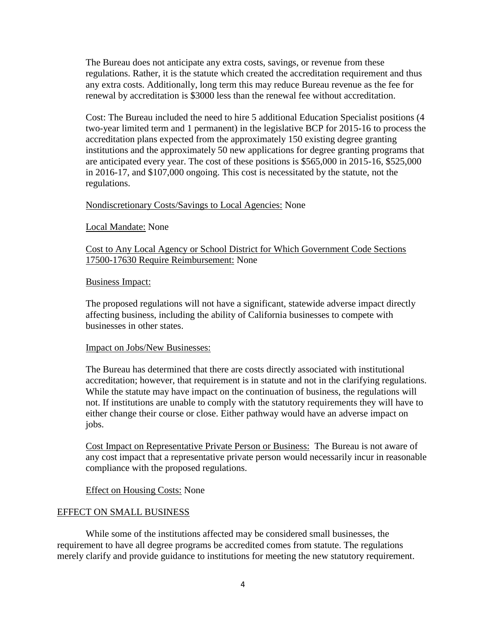The Bureau does not anticipate any extra costs, savings, or revenue from these regulations. Rather, it is the statute which created the accreditation requirement and thus any extra costs. Additionally, long term this may reduce Bureau revenue as the fee for renewal by accreditation is \$3000 less than the renewal fee without accreditation.

Cost: The Bureau included the need to hire 5 additional Education Specialist positions (4 two-year limited term and 1 permanent) in the legislative BCP for 2015-16 to process the accreditation plans expected from the approximately 150 existing degree granting institutions and the approximately 50 new applications for degree granting programs that are anticipated every year. The cost of these positions is \$565,000 in 2015-16, \$525,000 in 2016-17, and \$107,000 ongoing. This cost is necessitated by the statute, not the regulations.

## Nondiscretionary Costs/Savings to Local Agencies: None

#### Local Mandate: None

Cost to Any Local Agency or School District for Which Government Code Sections 17500-17630 Require Reimbursement: None

#### Business Impact:

The proposed regulations will not have a significant, statewide adverse impact directly affecting business, including the ability of California businesses to compete with businesses in other states.

#### Impact on Jobs/New Businesses:

The Bureau has determined that there are costs directly associated with institutional accreditation; however, that requirement is in statute and not in the clarifying regulations. While the statute may have impact on the continuation of business, the regulations will not. If institutions are unable to comply with the statutory requirements they will have to either change their course or close. Either pathway would have an adverse impact on jobs.

Cost Impact on Representative Private Person or Business: The Bureau is not aware of any cost impact that a representative private person would necessarily incur in reasonable compliance with the proposed regulations.

## Effect on Housing Costs: None

## EFFECT ON SMALL BUSINESS

While some of the institutions affected may be considered small businesses, the requirement to have all degree programs be accredited comes from statute. The regulations merely clarify and provide guidance to institutions for meeting the new statutory requirement.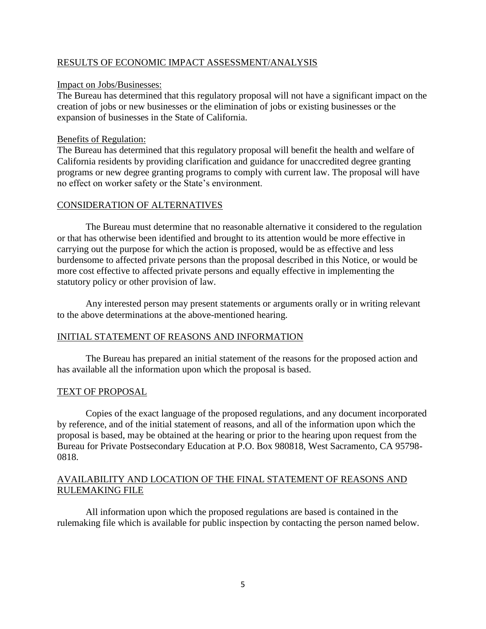## RESULTS OF ECONOMIC IMPACT ASSESSMENT/ANALYSIS

#### Impact on Jobs/Businesses:

The Bureau has determined that this regulatory proposal will not have a significant impact on the creation of jobs or new businesses or the elimination of jobs or existing businesses or the expansion of businesses in the State of California.

### Benefits of Regulation:

The Bureau has determined that this regulatory proposal will benefit the health and welfare of California residents by providing clarification and guidance for unaccredited degree granting programs or new degree granting programs to comply with current law. The proposal will have no effect on worker safety or the State's environment.

## CONSIDERATION OF ALTERNATIVES

The Bureau must determine that no reasonable alternative it considered to the regulation or that has otherwise been identified and brought to its attention would be more effective in carrying out the purpose for which the action is proposed, would be as effective and less burdensome to affected private persons than the proposal described in this Notice, or would be more cost effective to affected private persons and equally effective in implementing the statutory policy or other provision of law.

Any interested person may present statements or arguments orally or in writing relevant to the above determinations at the above-mentioned hearing.

## INITIAL STATEMENT OF REASONS AND INFORMATION

The Bureau has prepared an initial statement of the reasons for the proposed action and has available all the information upon which the proposal is based.

## TEXT OF PROPOSAL

Copies of the exact language of the proposed regulations, and any document incorporated by reference, and of the initial statement of reasons, and all of the information upon which the proposal is based, may be obtained at the hearing or prior to the hearing upon request from the Bureau for Private Postsecondary Education at P.O. Box 980818, West Sacramento, CA 95798- 0818.

## AVAILABILITY AND LOCATION OF THE FINAL STATEMENT OF REASONS AND RULEMAKING FILE

All information upon which the proposed regulations are based is contained in the rulemaking file which is available for public inspection by contacting the person named below.